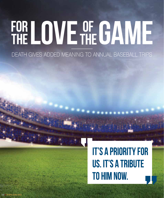## FOR LOVE OF GAME

## DEATH GIVES ADDED MEANING TO ANNUAL BASEBALL TRIPS

## **IT'S A PRIORITY FOR US. IT'S A TRIBUTE TO HIM NOW.**